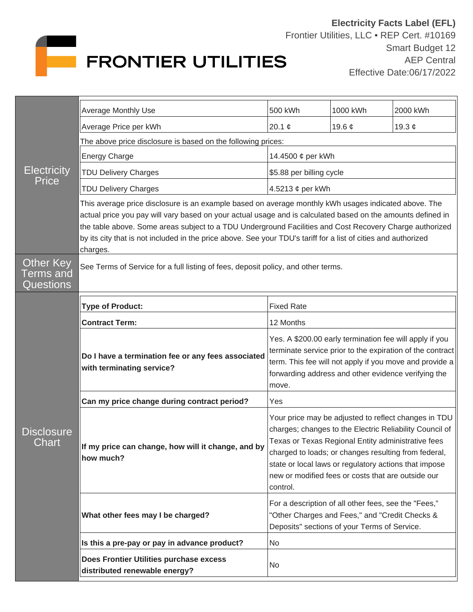

| <b>Electricity</b><br><b>Price</b>         | Average Monthly Use                                                                                                                                                                                                                                                                                                                                                                                                                                          | 500 kWh                                                                                                                                                                                                                                                                                                                                                  | 1000 kWh            | 2000 kWh    |  |
|--------------------------------------------|--------------------------------------------------------------------------------------------------------------------------------------------------------------------------------------------------------------------------------------------------------------------------------------------------------------------------------------------------------------------------------------------------------------------------------------------------------------|----------------------------------------------------------------------------------------------------------------------------------------------------------------------------------------------------------------------------------------------------------------------------------------------------------------------------------------------------------|---------------------|-------------|--|
|                                            | Average Price per kWh                                                                                                                                                                                                                                                                                                                                                                                                                                        | 20.1 $\phi$                                                                                                                                                                                                                                                                                                                                              | 19.6 $\mathfrak{c}$ | 19.3 $\phi$ |  |
|                                            | The above price disclosure is based on the following prices:                                                                                                                                                                                                                                                                                                                                                                                                 |                                                                                                                                                                                                                                                                                                                                                          |                     |             |  |
|                                            | <b>Energy Charge</b>                                                                                                                                                                                                                                                                                                                                                                                                                                         | 14.4500 ¢ per kWh                                                                                                                                                                                                                                                                                                                                        |                     |             |  |
|                                            | <b>TDU Delivery Charges</b>                                                                                                                                                                                                                                                                                                                                                                                                                                  | \$5.88 per billing cycle                                                                                                                                                                                                                                                                                                                                 |                     |             |  |
|                                            | <b>TDU Delivery Charges</b>                                                                                                                                                                                                                                                                                                                                                                                                                                  | 4.5213 ¢ per kWh                                                                                                                                                                                                                                                                                                                                         |                     |             |  |
|                                            | This average price disclosure is an example based on average monthly kWh usages indicated above. The<br>actual price you pay will vary based on your actual usage and is calculated based on the amounts defined in<br>the table above. Some areas subject to a TDU Underground Facilities and Cost Recovery Charge authorized<br>by its city that is not included in the price above. See your TDU's tariff for a list of cities and authorized<br>charges. |                                                                                                                                                                                                                                                                                                                                                          |                     |             |  |
| <b>Other Key</b><br>Terms and<br>Questions | See Terms of Service for a full listing of fees, deposit policy, and other terms.                                                                                                                                                                                                                                                                                                                                                                            |                                                                                                                                                                                                                                                                                                                                                          |                     |             |  |
| <b>Disclosure</b><br><u>C</u> hart         | <b>Type of Product:</b>                                                                                                                                                                                                                                                                                                                                                                                                                                      | <b>Fixed Rate</b>                                                                                                                                                                                                                                                                                                                                        |                     |             |  |
|                                            | <b>Contract Term:</b>                                                                                                                                                                                                                                                                                                                                                                                                                                        | 12 Months                                                                                                                                                                                                                                                                                                                                                |                     |             |  |
|                                            | Do I have a termination fee or any fees associated<br>with terminating service?                                                                                                                                                                                                                                                                                                                                                                              | Yes. A \$200.00 early termination fee will apply if you<br>terminate service prior to the expiration of the contract<br>term. This fee will not apply if you move and provide a<br>forwarding address and other evidence verifying the<br>move.                                                                                                          |                     |             |  |
|                                            | Can my price change during contract period?                                                                                                                                                                                                                                                                                                                                                                                                                  | Yes                                                                                                                                                                                                                                                                                                                                                      |                     |             |  |
|                                            | If my price can change, how will it change, and by<br>how much?                                                                                                                                                                                                                                                                                                                                                                                              | Your price may be adjusted to reflect changes in TDU<br>charges; changes to the Electric Reliability Council of<br>Texas or Texas Regional Entity administrative fees<br>charged to loads; or changes resulting from federal,<br>state or local laws or regulatory actions that impose<br>new or modified fees or costs that are outside our<br>control. |                     |             |  |
|                                            | What other fees may I be charged?                                                                                                                                                                                                                                                                                                                                                                                                                            | For a description of all other fees, see the "Fees,"<br>"Other Charges and Fees," and "Credit Checks &<br>Deposits" sections of your Terms of Service.                                                                                                                                                                                                   |                     |             |  |
|                                            | Is this a pre-pay or pay in advance product?                                                                                                                                                                                                                                                                                                                                                                                                                 | No                                                                                                                                                                                                                                                                                                                                                       |                     |             |  |
|                                            | Does Frontier Utilities purchase excess<br>distributed renewable energy?                                                                                                                                                                                                                                                                                                                                                                                     | No                                                                                                                                                                                                                                                                                                                                                       |                     |             |  |